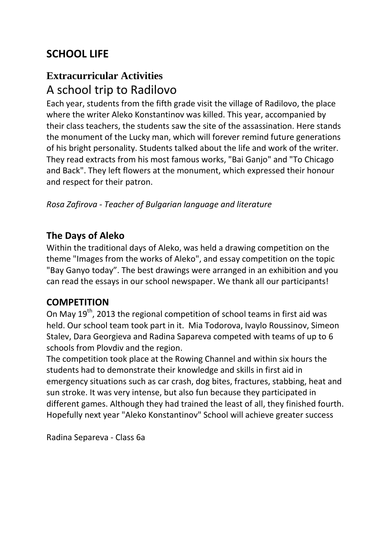# **SCHOOL LIFE**

# **Extracurricular Activities** A school trip to Radilovo

Each year, students from the fifth grade visit the village of Radilovo, the place where the writer Aleko Konstantinov was killed. This year, accompanied by their class teachers, the students saw the site of the assassination. Here stands the monument of the Lucky man, which will forever remind future generations of his bright personality. Students talked about the life and work of the writer. They read extracts from his most famous works, "Bai Ganjo" and "To Chicago and Back". They left flowers at the monument, which expressed their honour and respect for their patron.

*Rosa Zafirova - Teacher of Bulgarian language and literature*

#### **The Days of Aleko**

Within the traditional days of Aleko, was held a drawing competition on the theme "Images from the works of Aleko", and essay competition on the topic "Bay Ganyo today". The best drawings were arranged in an exhibition and you can read the essays in our school newspaper. We thank all our participants!

#### **COMPETITION**

On May 19<sup>th</sup>, 2013 the regional competition of school teams in first aid was held. Our school team took part in it. Mia Todorova, Ivaylo Roussinov, Simeon Stalev, Dara Georgieva and Radina Sapareva competed with teams of up to 6 schools from Plovdiv and the region.

The competition took place at the Rowing Channel and within six hours the students had to demonstrate their knowledge and skills in first aid in emergency situations such as car crash, dog bites, fractures, stabbing, heat and sun stroke. It was very intense, but also fun because they participated in different games. Although they had trained the least of all, they finished fourth. Hopefully next year "Aleko Konstantinov" School will achieve greater success

Radina Separeva - Class 6a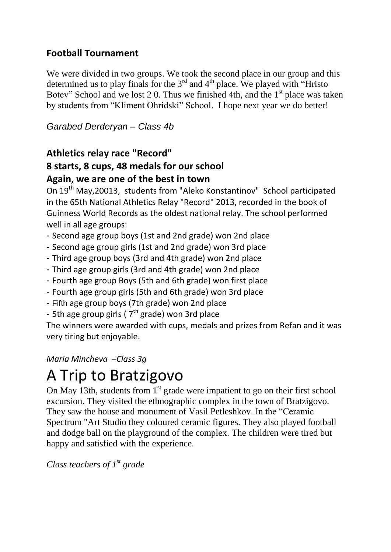#### **Football Tournament**

We were divided in two groups. We took the second place in our group and this determined us to play finals for the  $3<sup>rd</sup>$  and  $4<sup>th</sup>$  place. We played with "Hristo" Botev" School and we lost 2.0. Thus we finished 4th, and the  $1<sup>st</sup>$  place was taken by students from "Kliment Ohridski" School. I hope next year we do better!

*Garabed Derderyan – Class 4b*

#### **Athletics relay race "Record"**

#### **8 starts, 8 cups, 48 medals for our school Again, we are one of the best in town**

On 19th May,20013, students from "Aleko Konstantinov" School participated in the 65th National Athletics Relay "Record" 2013, recorded in the book of Guinness World Records as the oldest national relay. The school performed well in all age groups:

- Second age group boys (1st and 2nd grade) won 2nd place
- Second age group girls (1st and 2nd grade) won 3rd place
- Third age group boys (3rd and 4th grade) won 2nd place
- Third age group girls (3rd and 4th grade) won 2nd place
- Fourth age group Boys (5th and 6th grade) won first place
- Fourth age group girls (5th and 6th grade) won 3rd place
- Fifth age group boys (7th grade) won 2nd place
- 5th age group girls (  $7<sup>th</sup>$  grade) won 3rd place

The winners were awarded with cups, medals and prizes from Refan and it was very tiring but enjoyable.

*Maria Mincheva –Class 3g*

# A Trip to Bratzigovo

On May 13th, students from  $1<sup>st</sup>$  grade were impatient to go on their first school excursion. They visited the ethnographic complex in the town of Bratzigovo. They saw the house and monument of Vasil Petleshkov. In the "Ceramic Spectrum "Art Studio they coloured ceramic figures. They also played football and dodge ball on the playground of the complex. The children were tired but happy and satisfied with the experience.

*Class teachers of*  $1^{st}$  grade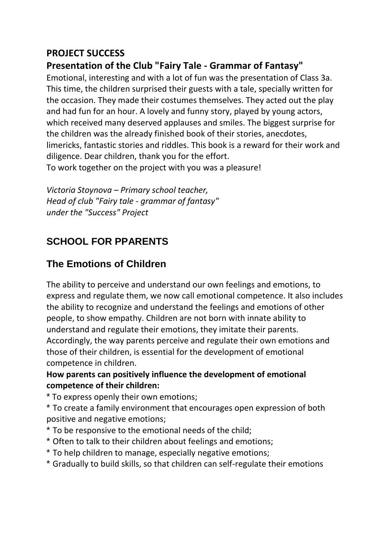#### **PROJECT SUCCESS**

#### **Presentation of the Club "Fairy Tale - Grammar of Fantasy"**

Emotional, interesting and with a lot of fun was the presentation of Class 3a. This time, the children surprised their guests with a tale, specially written for the occasion. They made their costumes themselves. They acted out the play and had fun for an hour. A lovely and funny story, played by young actors, which received many deserved applauses and smiles. The biggest surprise for the children was the already finished book of their stories, anecdotes, limericks, fantastic stories and riddles. This book is a reward for their work and diligence. Dear children, thank you for the effort.

To work together on the project with you was a pleasure!

*Victoria Stoynova – Primary school teacher, Head of club "Fairy tale - grammar of fantasy" under the "Success" Project*

### **SCHOOL FOR PPARENTS**

#### **The Emotions of Children**

The ability to perceive and understand our own feelings and emotions, to express and regulate them, we now call emotional competence. It also includes the ability to recognize and understand the feelings and emotions of other people, to show empathy. Children are not born with innate ability to understand and regulate their emotions, they imitate their parents. Accordingly, the way parents perceive and regulate their own emotions and those of their children, is essential for the development of emotional competence in children.

#### **How parents can positively influence the development of emotional competence of their children:**

\* To express openly their own emotions;

\* To create a family environment that encourages open expression of both positive and negative emotions;

- \* To be responsive to the emotional needs of the child;
- \* Often to talk to their children about feelings and emotions;
- \* To help children to manage, especially negative emotions;
- \* Gradually to build skills, so that children can self-regulate their emotions